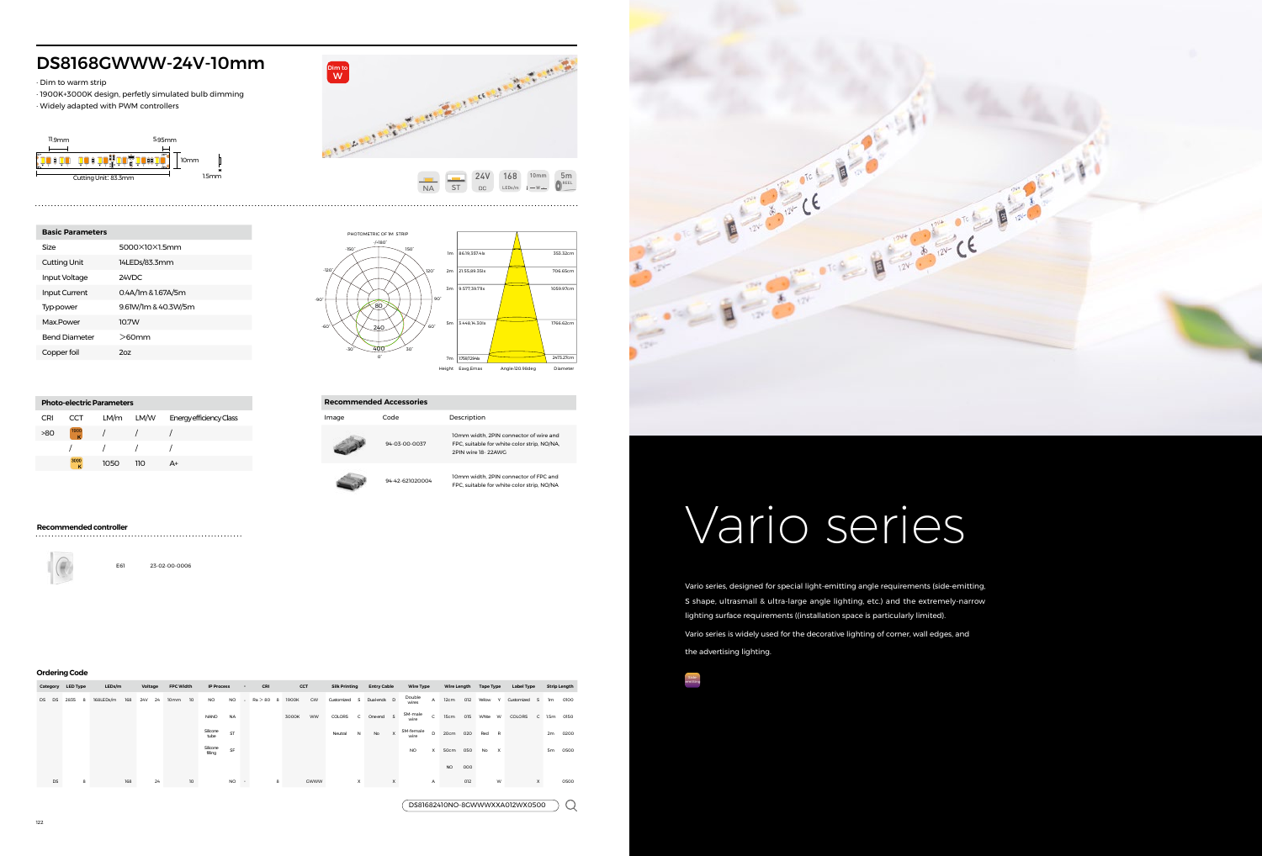

# DS8168GWWW-24V-10mm

· Dim to warm strip

| arm strip            | <b>168GWWW-24V-10mm</b><br>000K design, perfetly simulated bulb dimming<br>dapted with PWM controllers<br>5.95mm | <b>COLLEGE AND AND REAL PROPERTY AND ALL PARTY AND REAL PROPERTY.</b>                                          |  |
|----------------------|------------------------------------------------------------------------------------------------------------------|----------------------------------------------------------------------------------------------------------------|--|
| Cutting Unit: 83.3mm | <b>DE LOUIDE DE LA BIGATI</b><br>10mm<br>1.5mm                                                                   | 168<br><b>24V</b><br>5m<br>10 <sub>mm</sub><br>REEL<br><b>NA</b><br><b>ST</b><br><b>DC</b><br>LEDs/m<br>$-W -$ |  |
| rameters             |                                                                                                                  | PHOTOMETRIC OF IM STRIP                                                                                        |  |
|                      | 5000×10×1.5mm                                                                                                    | $-/-180°$<br>$-150^\circ$<br>$150^\circ$<br>86.19,357.4lx<br>1 <sub>m</sub><br>353.32cm                        |  |
| hit                  | 14LEDs/83.3mm                                                                                                    |                                                                                                                |  |
| tage                 | 24VDC                                                                                                            | $-120^\circ$<br>$120^\circ$<br>21.55,89.35lx<br>706.65cm<br>2m                                                 |  |
| $\sim$               | $\alpha$ , $\alpha$ $\beta$ $\alpha$ $\alpha$ $\alpha$ $\beta$ $\beta$                                           | 3m 9.577.39.71 x<br>1059.97cm                                                                                  |  |

· 1900K+3000K design, perfetly simulated bulb dimming · Widely adapted with PWM controllers

3.448,14.30lx

7m 1759,7294b

1766.62cm

2473.27cm

5m

80

240 400 0°

30°

-30°

60°

90°

Height Eavg,Emax Angle:120.98deg

-60°

-90°

| <b>Basic Parameters</b> |                     |
|-------------------------|---------------------|
| Size                    | 5000X10X15mm        |
| <b>Cutting Unit</b>     | 14LEDs/83.3mm       |
| Input Voltage           | 24VDC.              |
| <b>Input Current</b>    | 0.4A/1m & 1.67A/5m  |
| Typ-power               | 9.61W/1m & 40.3W/5m |
| Max Power               | 107W                |
| <b>Bend Diameter</b>    | $>60$ mm            |
| Copper foil             | 207                 |

 $>80$   $\frac{1900}{K}$  / / / / / / /

#### **Ordering Code**

|       |    | Category LED Type | LEDs/m    |     | Voltage          | <b>FPC Width</b> |                 | <b>IP Process</b>   | $\sim$              | CRI         |       | CCT       | <b>Silk Printing</b> |              | <b>Entry Cable</b> |          | <b>Wire Type</b>  |              | <b>Wire Length</b> |     | <b>Tape Type</b> |                           | <b>Label Type</b>              |   |                | <b>Strip Length</b> |
|-------|----|-------------------|-----------|-----|------------------|------------------|-----------------|---------------------|---------------------|-------------|-------|-----------|----------------------|--------------|--------------------|----------|-------------------|--------------|--------------------|-----|------------------|---------------------------|--------------------------------|---|----------------|---------------------|
| DS DS |    | 2835<br>8         | 168LEDs/m | 168 | 24<br><b>24V</b> | 10 <sub>mm</sub> | 10 <sup>°</sup> | <b>NO</b>           | <b>NO</b><br>$\sim$ | $Ra > 80$ 8 | 1900K | GW        | Customized           |              | S Dual-ends D      |          | Double<br>wires   | A            | 12cm               | 012 | Yellow           | $\vee$                    | Customized<br>S                |   | 1 <sub>m</sub> | 0100                |
|       |    |                   |           |     |                  |                  |                 | <b>NANO</b>         | <b>NA</b>           |             | 3000K | <b>WW</b> | COLORS               | $\mathsf{C}$ | One end            | s        | SM-male<br>wire   | $\mathsf{C}$ | 15cm               | 015 | White            | <b>W</b>                  | COLORS                         |   |                | C 1.5m 0150         |
|       |    |                   |           |     |                  |                  |                 | Silicone<br>tube    | ST                  |             |       |           | Neutral              | N            | No                 | $\times$ | SM-female<br>wire | D            | 20cm               | 020 | Red              | $\mathsf{R}$              |                                |   | 2m             | 0200                |
|       |    |                   |           |     |                  |                  |                 | Silicone<br>filling | SF                  |             |       |           |                      |              |                    |          | <b>NO</b>         | X            | 50cm               | 050 | No               | $\boldsymbol{\mathsf{x}}$ |                                |   | 5 <sub>m</sub> | 0500                |
|       |    |                   |           |     |                  |                  |                 |                     |                     |             |       |           |                      |              |                    |          |                   |              | <b>NO</b>          | 000 |                  |                           |                                |   |                |                     |
|       | DS | 8                 |           | 168 | 24               |                  | 10 <sup>°</sup> |                     | <b>NO</b><br>$\sim$ | 8           |       | GWWW      |                      | х            |                    | X        |                   | A            |                    | 012 |                  | W                         |                                | x |                | 0500                |
|       |    |                   |           |     |                  |                  |                 |                     |                     |             |       |           |                      |              |                    |          |                   |              |                    |     |                  |                           |                                |   |                |                     |
|       |    |                   |           |     |                  |                  |                 |                     |                     |             |       |           |                      |              |                    |          |                   |              |                    |     |                  |                           | DS81682410NO-8GWWWXXA012WX0500 |   |                |                     |



**Photo-electric Parameters**

CRI CCT LM/m LM/W Energy efficiency Class

1050 110 A+

1900





FPC, suitable for white color strip, NO/NA,

94-42-621020004 10mm width, 2PIN connector of FPC and FPC, suitable for white color strip, NO/NA

### **Recommended controller**

E61 23-02-00-0006

Vario series, designed for special light-emitting angle requirements (side-emitting, S shape, ultrasmall & ultra-large angle lighting, etc.) and the extremely-narrow lighting surface requirements ((installation space is particularly limited). Vario series is widely used for the decorative lighting of corner, wall edges, and the advertising lighting.

# Vario series

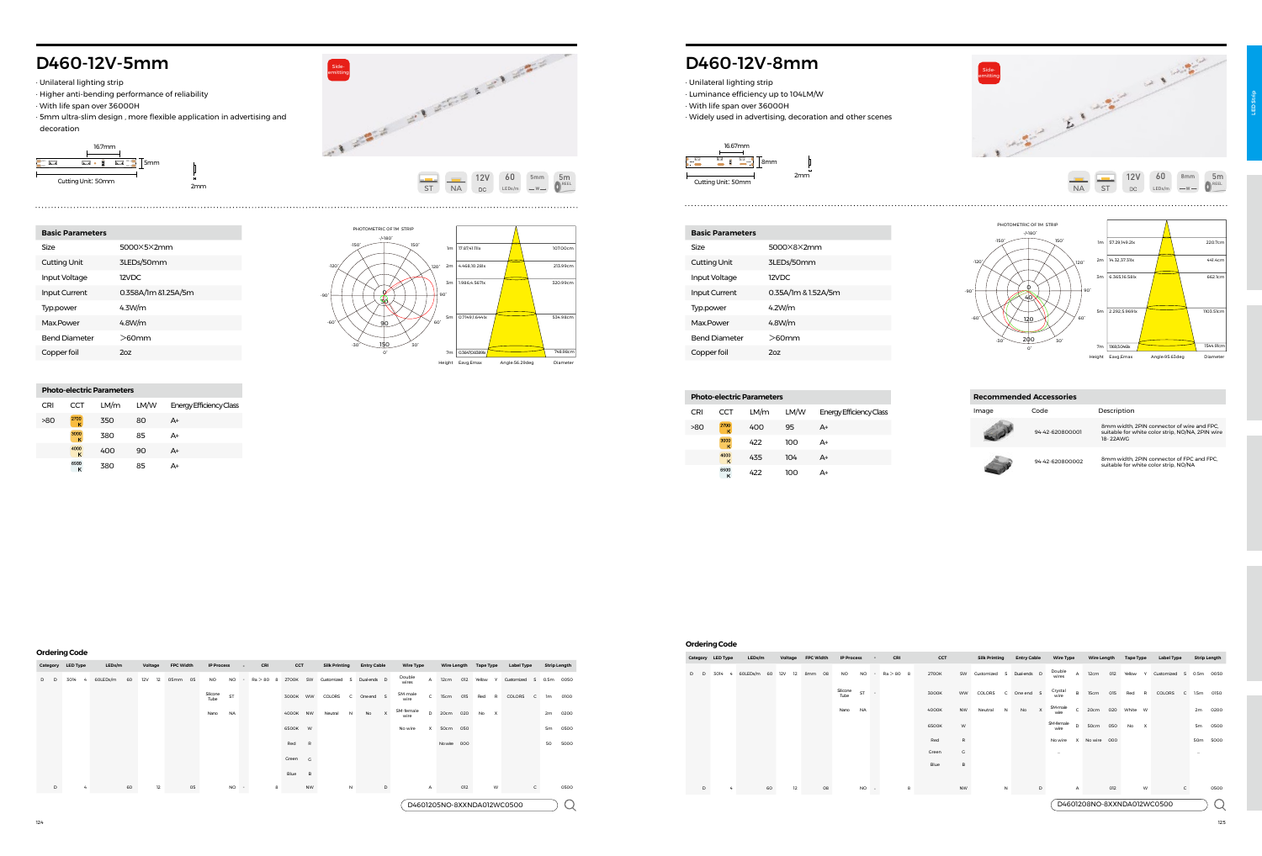# D460-12V-5mm

· Unilateral lighting strip

- · Higher anti-bending performance of reliability
- · With life span over 36000H
- · 5mm ultra-slim design , more flexible application in advertising and decoration





| Category | <b>LED Type</b> | LEDs/m         | Voltage   | <b>FPC Width</b> | <b>IP Process</b>      |      | CCT<br>CRI<br>$\overline{\phantom{a}}$ |          | <b>Silk Printing</b> |            | <b>Entry Cable</b> |             | <b>Wire Type</b> |                                 | <b>Wire Length</b> | <b>Tape Type</b> |        | <b>Label Type</b>         |            | <b>Strip Length</b> |                |           |
|----------|-----------------|----------------|-----------|------------------|------------------------|------|----------------------------------------|----------|----------------------|------------|--------------------|-------------|------------------|---------------------------------|--------------------|------------------|--------|---------------------------|------------|---------------------|----------------|-----------|
| D<br>D   | 3014<br>4       | 60LEDs/m<br>60 | 12V<br>12 | 05mm<br>05       | <b>NO</b><br><b>NO</b> |      | $Ra > 80$ 8                            | 2700K    | SW                   | Customized | s.                 | Dual-ends D |                  | Double<br>A<br>wires            | 12cm               | 012              | Yellow | $\mathsf{Y}$              | Customized | s                   |                | 0.5m 0050 |
|          |                 |                |           |                  | Silicone<br>ST<br>Tube |      |                                        | 3000K WW |                      | COLORS     | $\mathsf{C}$       | One end     | $\mathbf{s}$     | SM-male<br>$\mathsf{C}$<br>wire | 15cm               | 015              | Red    | R                         | COLORS     | $\mathsf{C}$        | 1 <sub>m</sub> | 0100      |
|          |                 |                |           |                  | <b>NA</b><br>Nano      |      |                                        | 4000K NW |                      | Neutral    | N                  | No          | $\times$         | SM-female<br>D<br>wire          |                    | 20cm 020         | No     | $\boldsymbol{\mathsf{x}}$ |            |                     | 2m             | 0200      |
|          |                 |                |           |                  |                        |      |                                        | 6500K W  |                      |            |                    |             |                  | X<br>No wire                    |                    | 50cm 050         |        |                           |            |                     | 5 <sub>m</sub> | 0500      |
|          |                 |                |           |                  |                        |      |                                        | Red      | R                    |            |                    |             |                  |                                 |                    | Nowire 000       |        |                           |            |                     | 50             | 5000      |
|          |                 |                |           |                  |                        |      |                                        | Green    | $\overline{G}$       |            |                    |             |                  |                                 |                    |                  |        |                           |            |                     |                |           |
|          |                 |                |           |                  |                        |      |                                        | Blue     | B                    |            |                    |             |                  |                                 |                    |                  |        |                           |            |                     |                |           |
| D        |                 | 60             | 12        | 05               |                        | NO - | 8                                      |          | NW                   |            | N                  |             | D                | A                               |                    | 012              |        | W                         |            | $\mathsf{C}$        |                | 0500      |
|          |                 |                |           |                  |                        |      |                                        |          |                      |            |                    |             |                  | D4601205NO-8XXNDA012WC0500      |                    |                  |        |                           |            |                     |                |           |

Copper foil 2oz

**Photo-electric Parameters**

 $\frac{3000}{\mathsf{K}}$  $\frac{4000}{K}$ 6500<br>K

 $>80$   $\frac{2700}{10}$  350 80 A+

CRI CCT LM/m LM/W Energy Efficiency Class

380 85 A+ 400 90 A+ 380 85 A+

#### **Ordering Code**



17.87,41.11lx 107.00cm



PHOTOMETRIC OF 1M STRIP

-/+180°

150°

-150°

## **Recommended Accessories Image** Code **Description** 94-42-620800001 8mm width, 2PIN connector of wire and FPC,<br>suitable for white color strip, NO/NA, 2PIN wire<br>18- 22AWG

# D460-12V-8mm

· Unilateral lighting strip · Luminance efficiency up to 104LM/W · With life span over 36000H · Widely used in advertising, decoration and other scenes

| <b>Basic Parameters</b> |                     |
|-------------------------|---------------------|
| Size                    | 5000X8X2mm          |
| <b>Cutting Unit</b>     | 3LEDs/50mm          |
| Input Voltage           | 12VDC               |
| <b>Input Current</b>    | 0.35A/1m & 1.52A/5m |
| Typ.power               | 4.2W/m              |
| Max Power               | 4.8W/m              |
| <b>Bend Diameter</b>    | $>60$ mm            |
| Copper foil             | 207                 |



|     | <b>Photo-electric Parameters</b> |      |      |                         |  |  |  |  |  |  |  |  |  |  |  |
|-----|----------------------------------|------|------|-------------------------|--|--|--|--|--|--|--|--|--|--|--|
| CRI | CCT                              | LM/m | LM/W | Energy Efficiency Class |  |  |  |  |  |  |  |  |  |  |  |
| >80 | 2700<br>ĸ                        | 400  | 95   | A+                      |  |  |  |  |  |  |  |  |  |  |  |
|     | 3000<br>ĸ                        | 422  | 100  | A+                      |  |  |  |  |  |  |  |  |  |  |  |
|     | 4000<br>K                        | 435  | 104  | A+                      |  |  |  |  |  |  |  |  |  |  |  |
|     | 6500<br>Κ                        | 422  | າດດ  | A+                      |  |  |  |  |  |  |  |  |  |  |  |

#### **Ordering Code**



|             | Category LED Type | LEDs/m      | Voltage   | <b>FPC Width</b> | <b>IP Process</b>      |        | CRI         | CCT   |           | <b>Silk Printing</b>    | <b>Entry Cable</b> | <b>Wire Type</b>  |              | <b>Wire Length</b> |     | <b>Tape Type</b> |              | <b>Label Type</b>          |                 | <b>Strip Length</b> |
|-------------|-------------------|-------------|-----------|------------------|------------------------|--------|-------------|-------|-----------|-------------------------|--------------------|-------------------|--------------|--------------------|-----|------------------|--------------|----------------------------|-----------------|---------------------|
| D<br>$\Box$ | 3014<br>$-4$      | 60LEDs/m 60 | 12V<br>12 | 8mm 08           | <b>NO</b><br><b>NO</b> | $\sim$ | $Ra > 80$ 8 | 2700K | SW        | Customized<br>s         | Dual-ends D        | Double<br>wires   | A            | 12cm               | 012 | Yellow           | $\mathsf{Y}$ | Customized<br>S            | 0.5m            | 0050                |
|             |                   |             |           |                  | Silicone<br>ST<br>Tube |        |             | 3000K | ww        | COLORS<br>C             | One end S          | Crystal<br>wire   | в            | 15cm               | 015 | Red              | <b>R</b>     | COLORS<br>$\mathsf{C}$     | 1.5m            | 0150                |
|             |                   |             |           |                  | <b>NA</b><br>Nano      |        |             | 4000K | <b>NW</b> | Neutral<br>$\mathsf{N}$ | No<br>x            | SM-male<br>wire   | $\mathsf{C}$ | 20cm               | 020 | White W          |              |                            | 2m              | 0200                |
|             |                   |             |           |                  |                        |        |             | 6500K | W         |                         |                    | SM-female<br>wire | D            | 50cm               | 050 | No               | $\mathsf{x}$ |                            | 5 <sub>m</sub>  | 0500                |
|             |                   |             |           |                  |                        |        |             | Red   | R         |                         |                    | No wire           |              | X No wire 000      |     |                  |              |                            | 50 <sub>m</sub> | 5000                |
|             |                   |             |           |                  |                        |        |             | Green | G         |                         |                    | $\cdots$          |              |                    |     |                  |              |                            |                 |                     |
|             |                   |             |           |                  |                        |        |             | Blue  | в         |                         |                    |                   |              |                    |     |                  |              |                            |                 |                     |
|             |                   |             |           |                  |                        |        |             |       |           |                         |                    |                   |              |                    |     |                  |              |                            |                 |                     |
| D           |                   | 60          | 12        | 08               | NO -                   |        | 8           |       | <b>NW</b> | N                       | D                  |                   | Α            |                    | 012 |                  | W            | c                          |                 | 0500                |
|             |                   |             |           |                  |                        |        |             |       |           |                         |                    |                   |              |                    |     |                  |              | D4601208NO-8XXNDA012WC0500 |                 |                     |

| <b>Entry Cable</b><br>Wire T                 | <b>Silk Printing</b> |           | CCT   | CRI         | $\sim$              | <b>IP Process</b> |    | <b>FPC Width</b> | Voltage |    | LEDs/m      |   | Category LED Type |   |   |
|----------------------------------------------|----------------------|-----------|-------|-------------|---------------------|-------------------|----|------------------|---------|----|-------------|---|-------------------|---|---|
| Double<br>s<br>Dual-ends D<br>wires          | Customized           | SW        | 2700K | $Ra > 80$ 8 | <b>NO</b><br>$\sim$ | <b>NO</b>         |    | 8mm 08           | 12V 12  |    | 60LEDs/m 60 | 4 | 3014              | D | D |
| Crystal<br>$\mathsf{C}$<br>One end S<br>wire | COLORS               | ww        | 3000K |             | ST                  | Silicone<br>Tube  |    |                  |         |    |             |   |                   |   |   |
| SM-male<br>$\times$<br>No<br>N<br>wire       | Neutral              | <b>NW</b> | 4000K |             | <b>NA</b>           | Nano              |    |                  |         |    |             |   |                   |   |   |
| SM-femal<br>wire                             |                      | W         | 6500K |             |                     |                   |    |                  |         |    |             |   |                   |   |   |
| No wire                                      |                      | R         | Red   |             |                     |                   |    |                  |         |    |             |   |                   |   |   |
| $\sim$                                       |                      | G         | Green |             |                     |                   |    |                  |         |    |             |   |                   |   |   |
|                                              |                      | B         | Blue  |             |                     |                   |    |                  |         |    |             |   |                   |   |   |
|                                              |                      |           |       |             |                     |                   |    |                  |         |    |             |   |                   |   |   |
| N<br>D                                       |                      | <b>NW</b> |       | 8           | <b>NO</b><br>٠      |                   | 08 |                  | 12      | 60 |             | 4 |                   | D |   |

# 94-42-620800002 8mm width, 2PIN connector of FPC and FPC, suitable for white color strip, NO/NA